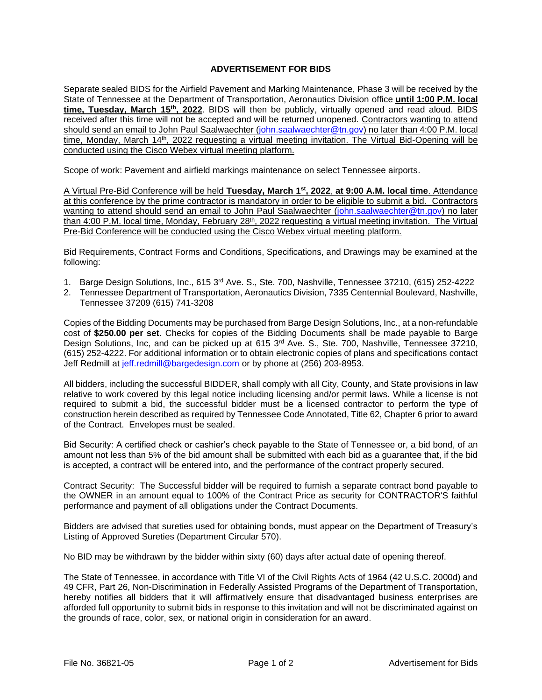## **ADVERTISEMENT FOR BIDS**

Separate sealed BIDS for the Airfield Pavement and Marking Maintenance, Phase 3 will be received by the State of Tennessee at the Department of Transportation, Aeronautics Division office **until 1:00 P.M. local time, Tuesday, March 15th, 2022**. BIDS will then be publicly, virtually opened and read aloud. BIDS received after this time will not be accepted and will be returned unopened. Contractors wanting to attend should send an email to John Paul Saalwaechter [\(john.saalwaechter@tn.gov\)](mailto:john.saalwaechter@tn.gov) no later than 4:00 P.M. local time, Monday, March 14<sup>th</sup>, 2022 requesting a virtual meeting invitation. The Virtual Bid-Opening will be conducted using the Cisco Webex virtual meeting platform.

Scope of work: Pavement and airfield markings maintenance on select Tennessee airports.

A Virtual Pre-Bid Conference will be held **Tuesday, March 1 st, 2022**, **at 9:00 A.M. local time**. Attendance at this conference by the prime contractor is mandatory in order to be eligible to submit a bid. Contractors wanting to attend should send an email to John Paul Saalwaechter [\(john.saalwaechter@tn.gov\)](mailto:john.saalwaechter@tn.gov) no later than 4:00 P.M. local time, Monday, February 28<sup>th</sup>, 2022 requesting a virtual meeting invitation. The Virtual Pre-Bid Conference will be conducted using the Cisco Webex virtual meeting platform.

Bid Requirements, Contract Forms and Conditions, Specifications, and Drawings may be examined at the following:

- 1. Barge Design Solutions, Inc., 615 3rd Ave. S., Ste. 700, Nashville, Tennessee 37210, (615) 252-4222
- 2. Tennessee Department of Transportation, Aeronautics Division, 7335 Centennial Boulevard, Nashville, Tennessee 37209 (615) 741-3208

Copies of the Bidding Documents may be purchased from Barge Design Solutions, Inc., at a non-refundable cost of **\$250.00 per set**. Checks for copies of the Bidding Documents shall be made payable to Barge Design Solutions, Inc, and can be picked up at 615 3<sup>rd</sup> Ave. S., Ste. 700, Nashville, Tennessee 37210, (615) 252-4222. For additional information or to obtain electronic copies of plans and specifications contact Jeff Redmill at [jeff.redmill@bargedesign.com](mailto:jeff.redmill@bargedesign.com) or by phone at (256) 203-8953.

All bidders, including the successful BIDDER, shall comply with all City, County, and State provisions in law relative to work covered by this legal notice including licensing and/or permit laws. While a license is not required to submit a bid, the successful bidder must be a licensed contractor to perform the type of construction herein described as required by Tennessee Code Annotated, Title 62, Chapter 6 prior to award of the Contract. Envelopes must be sealed.

Bid Security: A certified check or cashier's check payable to the State of Tennessee or, a bid bond, of an amount not less than 5% of the bid amount shall be submitted with each bid as a guarantee that, if the bid is accepted, a contract will be entered into, and the performance of the contract properly secured.

Contract Security: The Successful bidder will be required to furnish a separate contract bond payable to the OWNER in an amount equal to 100% of the Contract Price as security for CONTRACTOR'S faithful performance and payment of all obligations under the Contract Documents.

Bidders are advised that sureties used for obtaining bonds, must appear on the Department of Treasury's Listing of Approved Sureties (Department Circular 570).

No BID may be withdrawn by the bidder within sixty (60) days after actual date of opening thereof.

The State of Tennessee, in accordance with Title VI of the Civil Rights Acts of 1964 (42 U.S.C. 2000d) and 49 CFR, Part 26, Non-Discrimination in Federally Assisted Programs of the Department of Transportation, hereby notifies all bidders that it will affirmatively ensure that disadvantaged business enterprises are afforded full opportunity to submit bids in response to this invitation and will not be discriminated against on the grounds of race, color, sex, or national origin in consideration for an award.